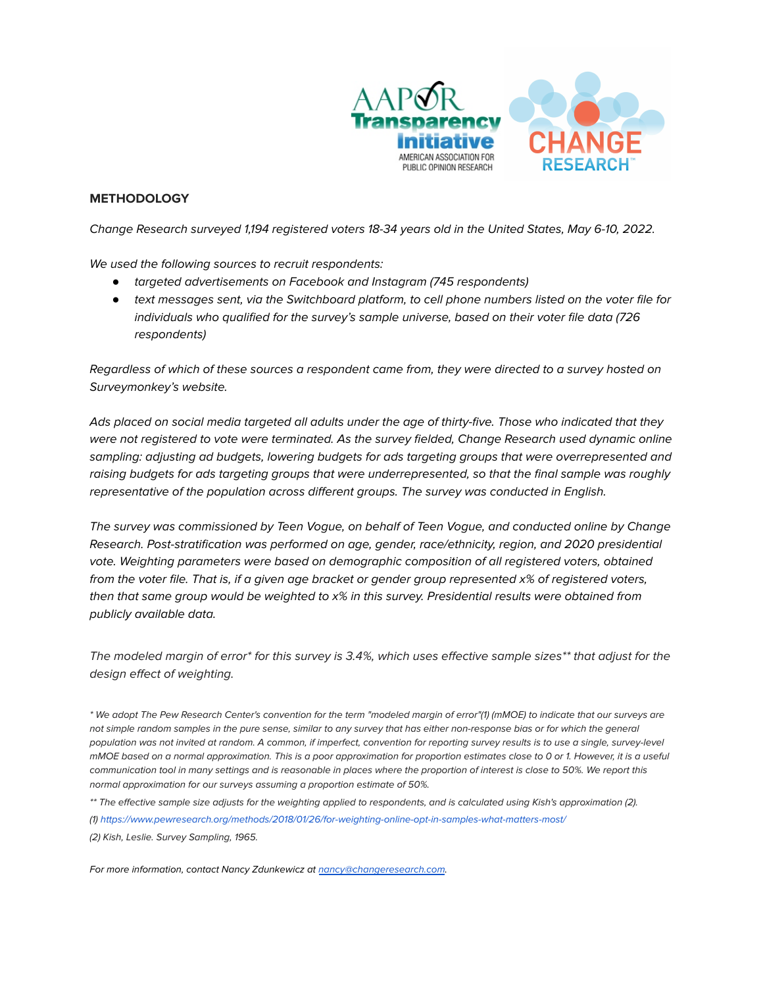

## **METHODOLOGY**

Change Research surveyed 1,194 registered voters 18-34 years old in the United States, May 6-10, 2022.

We used the following sources to recruit respondents:

- *●* targeted advertisements on Facebook and Instagram (745 respondents)
- *●* text messages sent, via the Switchboard platform, to cell phone numbers listed on the voter file for individuals who qualified for the survey's sample universe, based on their voter file data (726 respondents)

Regardless of which of these sources a respondent came from, they were directed to a survey hosted on Surveymonkey's website.

Ads placed on social media targeted all adults under the age of thirty-five. Those who indicated that they were not registered to vote were terminated. As the survey fielded, Change Research used dynamic online sampling: adjusting ad budgets, lowering budgets for ads targeting groups that were overrepresented and raising budgets for ads targeting groups that were underrepresented, so that the final sample was roughly representative of the population across different groups. The survey was conducted in English.

The survey was commissioned by Teen Vogue, on behalf of Teen Vogue, and conducted online by Change Research. Post-stratification was performed on age, gender, race/ethnicity, region, and 2020 presidential vote. Weighting parameters were based on demographic composition of all registered voters, obtained from the voter file. That is, if a given age bracket or gender group represented x% of registered voters, then that same group would be weighted to x% in this survey. Presidential results were obtained from publicly available data.

The modeled margin of error\* for this survey is 3.4%, which uses effective sample sizes\*\* that adjust for the design effect of weighting.

\* We adopt The Pew Research Center's convention for the term "modeled margin of error"(1) (mMOE) to indicate that our surveys are not simple random samples in the pure sense, similar to any survey that has either non-response bias or for which the general population was not invited at random. A common, if imperfect, convention for reporting survey results is to use a single, survey-level mMOE based on a normal approximation. This is a poor approximation for proportion estimates close to 0 or 1. However, it is a useful communication tool in many settings and is reasonable in places where the proportion of interest is close to 50%. We report this normal approximation for our surveys assuming a proportion estimate of 50%.

\*\* The effective sample size adjusts for the weighting applied to respondents, and is calculated using Kish's approximation (2).

(1) <https://www.pewresearch.org/methods/2018/01/26/for-weighting-online-opt-in-samples-what-matters-most/>

(2) Kish, Leslie. Survey Sampling, 1965.

For more information, contact Nancy Zdunkewicz at [nancy@changeresearch.com](mailto:nancy@changeresearch.com).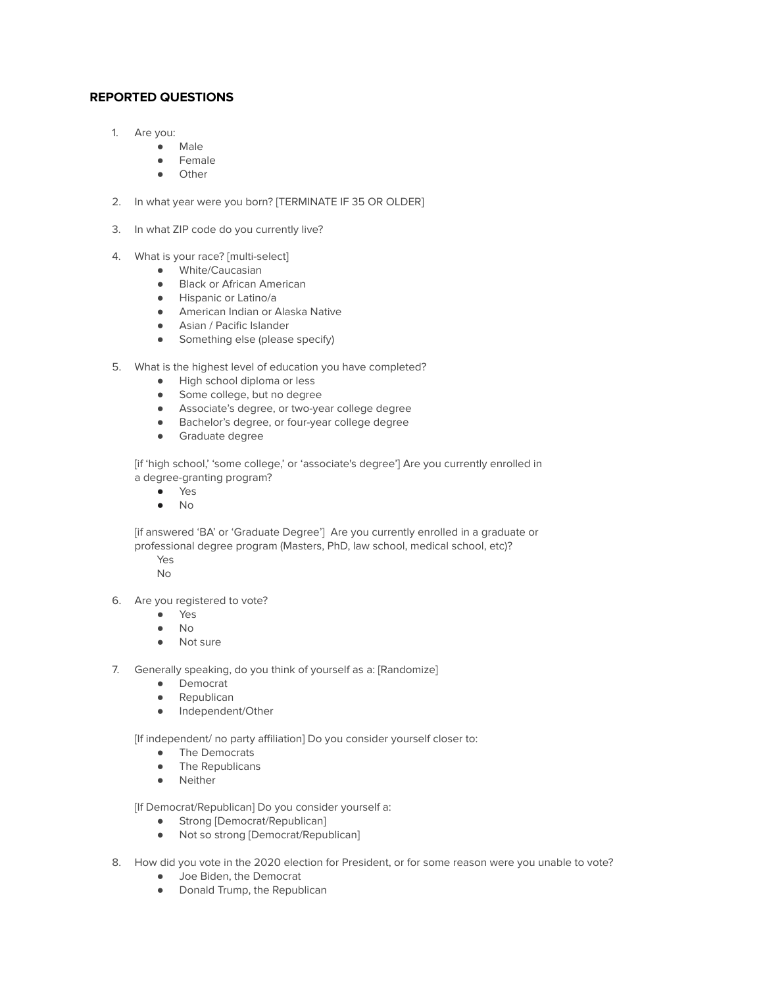## **REPORTED QUESTIONS**

- 1. Are you:
	- Male
	- Female
	- Other
- 2. In what year were you born? [TERMINATE IF 35 OR OLDER]
- 3. In what ZIP code do you currently live?
- 4. What is your race? [multi-select]
	- White/Caucasian
	- Black or African American
	- Hispanic or Latino/a
	- American Indian or Alaska Native
	- Asian / Pacific Islander
	- Something else (please specify)
- 5. What is the highest level of education you have completed?
	- High school diploma or less
	- Some college, but no degree
	- Associate's degree, or two-year college degree
	- Bachelor's degree, or four-year college degree
	- Graduate degree

[if 'high school,' 'some college,' or 'associate's degree'] Are you currently enrolled in a degree-granting program?

- Yes
- $\bullet$  No

[if answered 'BA' or 'Graduate Degree'] Are you currently enrolled in a graduate or professional degree program (Masters, PhD, law school, medical school, etc)?

- Yes
- No
- 6. Are you registered to vote?
	- Yes
	- No
	- Not sure
- 7. Generally speaking, do you think of yourself as a: [Randomize]
	- Democrat
	- Republican
	- Independent/Other

[If independent/ no party affiliation] Do you consider yourself closer to:

- The Democrats
- The Republicans
- Neither

[If Democrat/Republican] Do you consider yourself a:

- Strong [Democrat/Republican]
- Not so strong [Democrat/Republican]
- 8. How did you vote in the 2020 election for President, or for some reason were you unable to vote?
	- Joe Biden, the Democrat
	- Donald Trump, the Republican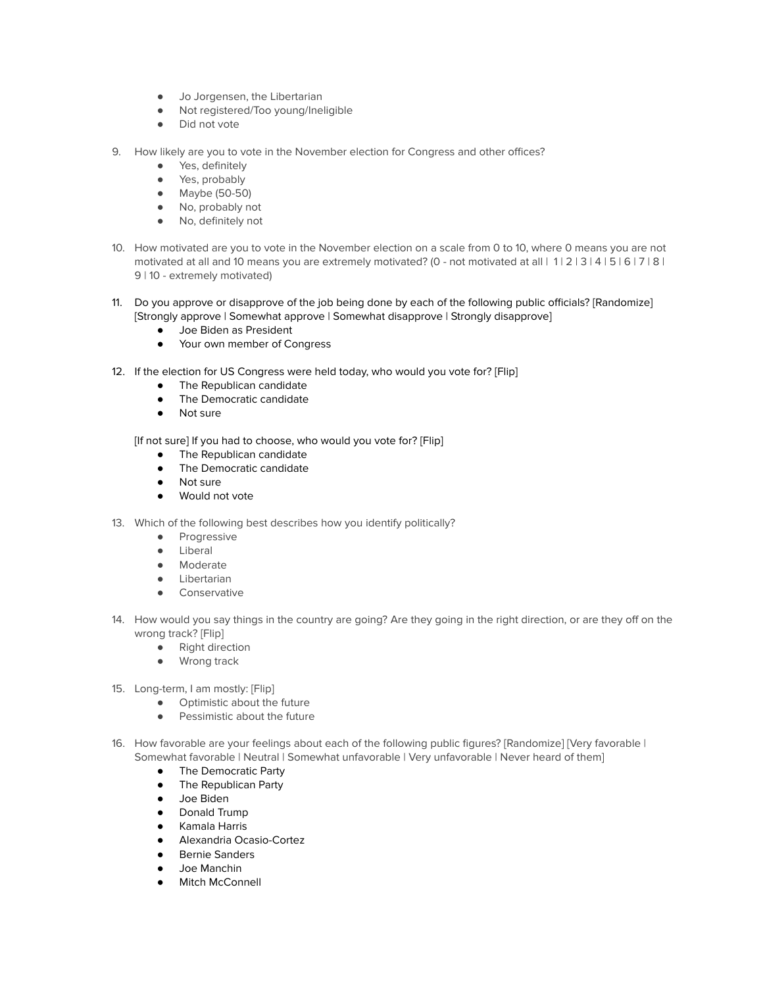- Jo Jorgensen, the Libertarian
- Not registered/Too young/Ineligible
- Did not vote
- 9. How likely are you to vote in the November election for Congress and other offices?
	- Yes, definitely
	- Yes, probably
	- Maybe (50-50)
	- No, probably not
	- No, definitely not
- 10. How motivated are you to vote in the November election on a scale from 0 to 10, where 0 means you are not motivated at all and 10 means you are extremely motivated? (0 - not motivated at all | 1 | 2 | 3 | 4 | 5 | 6 | 7 | 8 | 9 | 10 - extremely motivated)
- 11. Do you approve or disapprove of the job being done by each of the following public officials? [Randomize] [Strongly approve | Somewhat approve | Somewhat disapprove | Strongly disapprove]
	- Joe Biden as President
	- Your own member of Congress
- 12. If the election for US Congress were held today, who would you vote for? [Flip]
	- The Republican candidate
	- The Democratic candidate
	- Not sure

[If not sure] If you had to choose, who would you vote for? [Flip]

- The Republican candidate
- The Democratic candidate
- Not sure
- Would not vote
- 13. Which of the following best describes how you identify politically?
	- Progressive
	- Liberal
	- Moderate
	- Libertarian
	- Conservative
- 14. How would you say things in the country are going? Are they going in the right direction, or are they off on the wrong track? [Flip]
	- Right direction
	- Wrong track
- 15. Long-term, I am mostly: [Flip]
	- Optimistic about the future
	- Pessimistic about the future
- 16. How favorable are your feelings about each of the following public figures? [Randomize] [Very favorable | Somewhat favorable | Neutral | Somewhat unfavorable | Very unfavorable | Never heard of them]
	- The Democratic Party
	- The Republican Party
	- Joe Biden
	- Donald Trump
	- Kamala Harris
	- Alexandria Ocasio-Cortez
	- Bernie Sanders
	- Joe Manchin
	- Mitch McConnell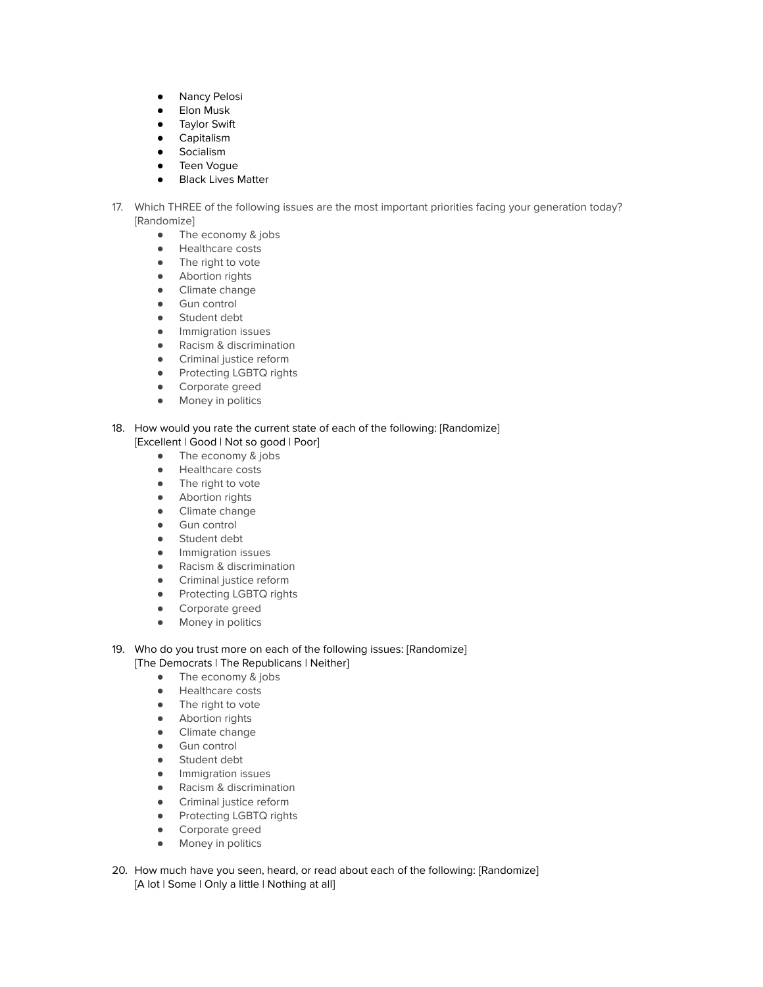- Nancy Pelosi
- Elon Musk
- Taylor Swift
- Capitalism
- Socialism
- Teen Vogue
- Black Lives Matter
- 17. Which THREE of the following issues are the most important priorities facing your generation today? [Randomize]
	- The economy & jobs
	- Healthcare costs
	- The right to vote
	- Abortion rights
	- Climate change
	- Gun control
	- Student debt
	- Immigration issues
	- Racism & discrimination
	- Criminal justice reform
	- Protecting LGBTQ rights
	- Corporate greed
	- Money in politics

## 18. How would you rate the current state of each of the following: [Randomize] [Excellent | Good | Not so good | Poor]

- The economy & jobs
- Healthcare costs
- The right to vote
- Abortion rights
- Climate change
- Gun control
- Student debt
- Immigration issues
- Racism & discrimination
- Criminal justice reform
- Protecting LGBTQ rights
- Corporate greed
- Money in politics
- 19. Who do you trust more on each of the following issues: [Randomize] [The Democrats | The Republicans | Neither]
	- The economy & jobs
	- Healthcare costs
	- The right to vote
	- Abortion rights
	- Climate change
	- Gun control
	- Student debt
	- Immigration issues
	- Racism & discrimination
	- Criminal justice reform
	- **•** Protecting LGBTQ rights
	- Corporate greed
	- Money in politics
- 20. How much have you seen, heard, or read about each of the following: [Randomize] [A lot | Some | Only a little | Nothing at all]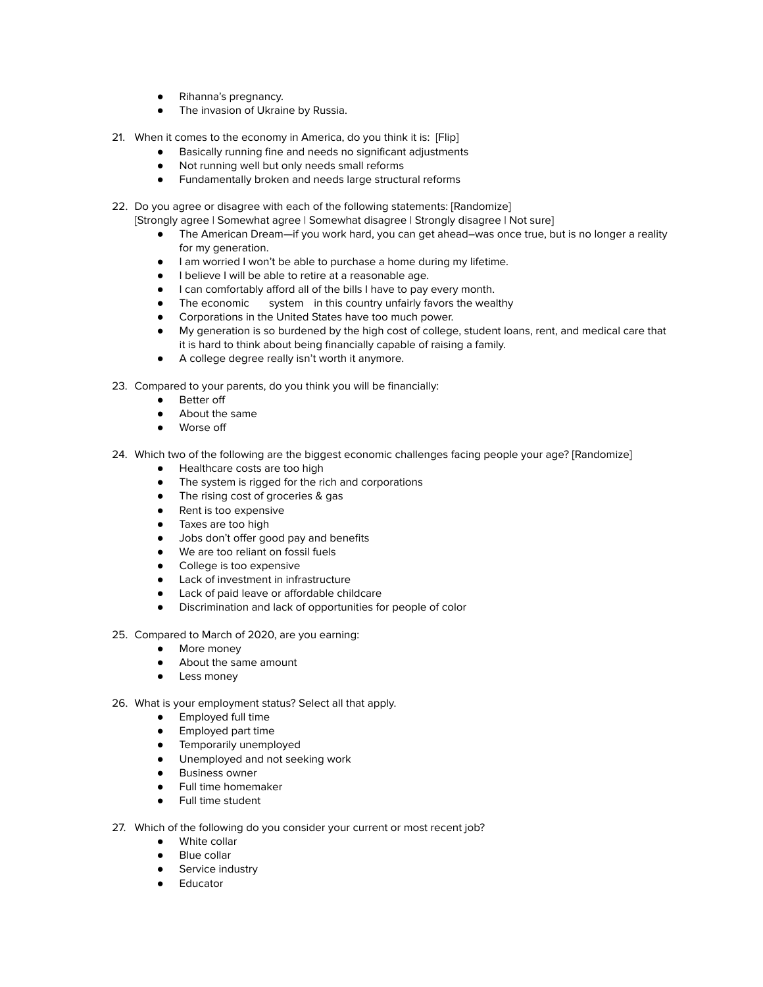- Rihanna's pregnancy.
- The invasion of Ukraine by Russia.
- 21. When it comes to the economy in America, do you think it is: [Flip]
	- Basically running fine and needs no significant adjustments
	- Not running well but only needs small reforms
	- Fundamentally broken and needs large structural reforms
- 22. Do you agree or disagree with each of the following statements: [Randomize]
	- [Strongly agree | Somewhat agree | Somewhat disagree | Strongly disagree | Not sure]
		- The American Dream—if you work hard, you can get ahead–was once true, but is no longer a reality for my generation.
		- I am worried I won't be able to purchase a home during my lifetime.
		- I believe I will be able to retire at a reasonable age.
		- I can comfortably afford all of the bills I have to pay every month.
		- The economic system in this country unfairly favors the wealthy
		- Corporations in the United States have too much power.
		- My generation is so burdened by the high cost of college, student loans, rent, and medical care that it is hard to think about being financially capable of raising a family.
		- A college degree really isn't worth it anymore.
- 23. Compared to your parents, do you think you will be financially:
	- Better off
	- About the same
	- Worse off
- 24. Which two of the following are the biggest economic challenges facing people your age? [Randomize]
	- Healthcare costs are too high
	- The system is rigged for the rich and corporations
	- The rising cost of groceries & gas
	- Rent is too expensive
	- Taxes are too high
	- Jobs don't offer good pay and benefits
	- We are too reliant on fossil fuels
	- College is too expensive
	- Lack of investment in infrastructure
	- Lack of paid leave or affordable childcare
	- Discrimination and lack of opportunities for people of color
- 25. Compared to March of 2020, are you earning:
	- More money
	- About the same amount
	- Less money
- 26. What is your employment status? Select all that apply.
	- Employed full time
	- Employed part time
	- **•** Temporarily unemployed
	- Unemployed and not seeking work
	- Business owner
	- Full time homemaker
	- Full time student
- 27. Which of the following do you consider your current or most recent job?
	- White collar
	- Blue collar
	- **•** Service industry
	- Educator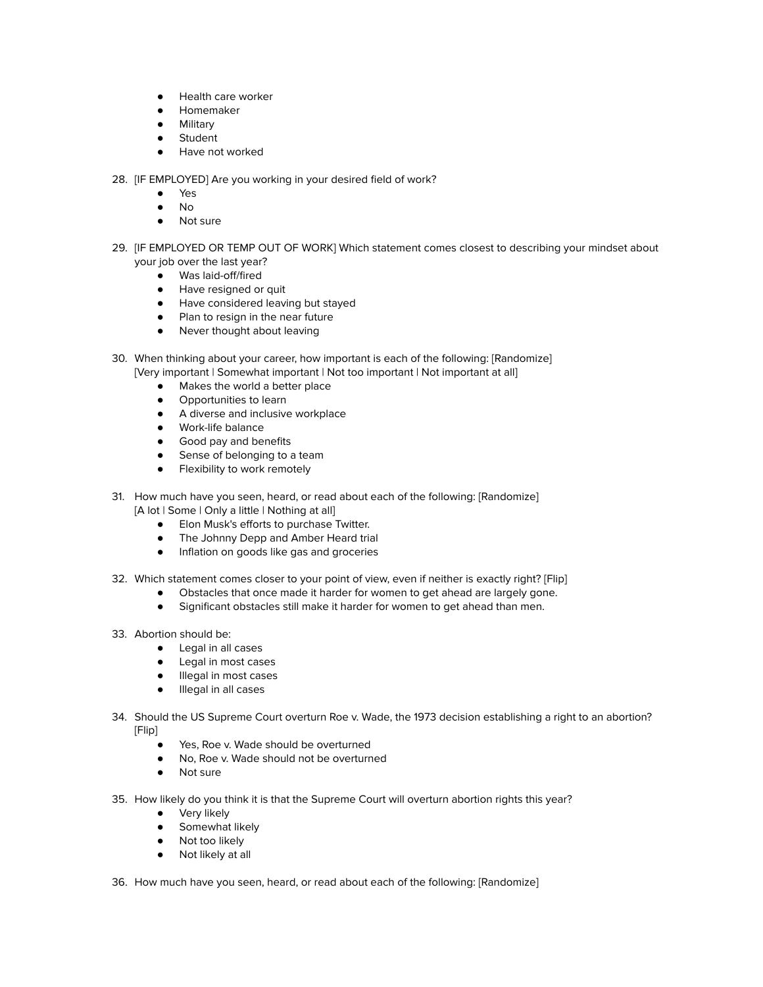- Health care worker
- Homemaker
- **Military**
- Student
- Have not worked
- 28. [IF EMPLOYED] Are you working in your desired field of work?
	- Yes
	- $No$
	- Not sure
- 29. [IF EMPLOYED OR TEMP OUT OF WORK] Which statement comes closest to describing your mindset about your job over the last year?
	- Was laid-off/fired
	- Have resigned or quit
	- Have considered leaving but stayed
	- Plan to resign in the near future
	- Never thought about leaving
- 30. When thinking about your career, how important is each of the following: [Randomize] [Very important | Somewhat important | Not too important | Not important at all]
	- Makes the world a better place
	- Opportunities to learn
	- A diverse and inclusive workplace
	- Work-life balance
	- Good pay and benefits
	- Sense of belonging to a team
	- Flexibility to work remotely
- 31. How much have you seen, heard, or read about each of the following: [Randomize] [A lot | Some | Only a little | Nothing at all]
	- Elon Musk's efforts to purchase Twitter.
	- The Johnny Depp and Amber Heard trial
	- Inflation on goods like gas and groceries
- 32. Which statement comes closer to your point of view, even if neither is exactly right? [Flip]
	- Obstacles that once made it harder for women to get ahead are largely gone.
	- Significant obstacles still make it harder for women to get ahead than men.
- 33. Abortion should be:
	- Legal in all cases
	- Legal in most cases
	- Illegal in most cases
	- Illegal in all cases
- 34. Should the US Supreme Court overturn Roe v. Wade, the 1973 decision establishing a right to an abortion? [Flip]
	- Yes, Roe v. Wade should be overturned
	- No. Roe v. Wade should not be overturned
	- Not sure
- 35. How likely do you think it is that the Supreme Court will overturn abortion rights this year?
	- Very likely
	- **•** Somewhat likely
	- Not too likely
	- Not likely at all
- 36. How much have you seen, heard, or read about each of the following: [Randomize]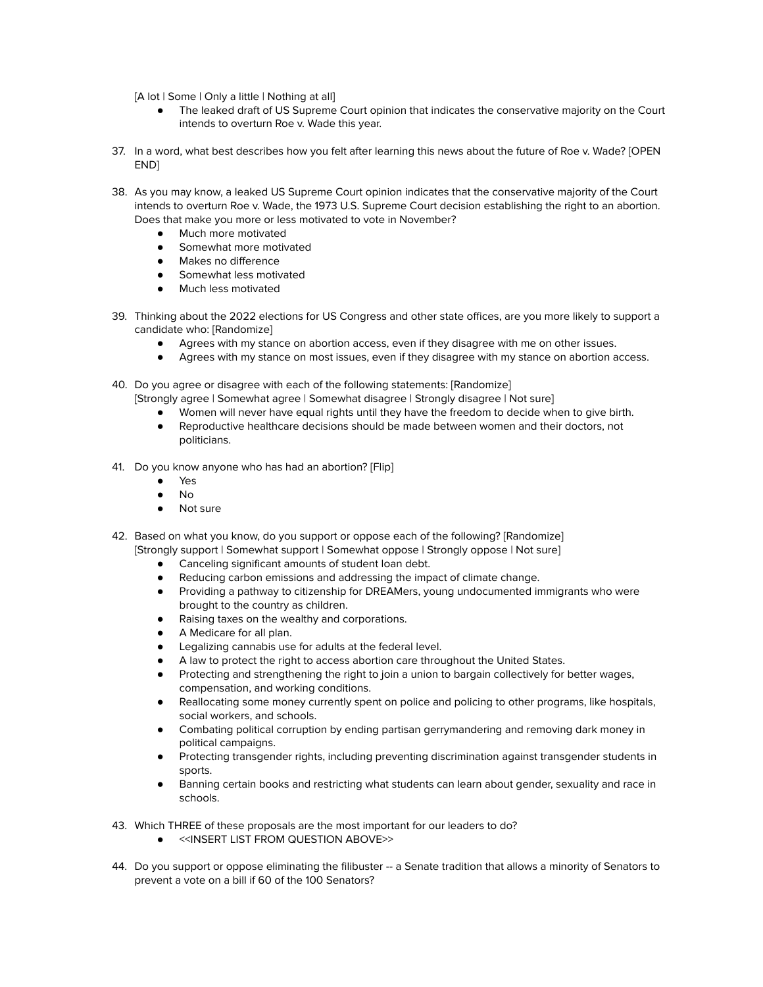[A lot | Some | Only a little | Nothing at all]

- The leaked draft of US Supreme Court opinion that indicates the conservative majority on the Court intends to overturn Roe v. Wade this year.
- 37. In a word, what best describes how you felt after learning this news about the future of Roe v. Wade? [OPEN END]
- 38. As you may know, a leaked US Supreme Court opinion indicates that the conservative majority of the Court intends to overturn Roe v. Wade, the 1973 U.S. Supreme Court decision establishing the right to an abortion. Does that make you more or less motivated to vote in November?
	- Much more motivated
	- Somewhat more motivated
	- Makes no difference
	- Somewhat less motivated
	- Much less motivated
- 39. Thinking about the 2022 elections for US Congress and other state offices, are you more likely to support a candidate who: [Randomize]
	- Agrees with my stance on abortion access, even if they disagree with me on other issues.
	- Agrees with my stance on most issues, even if they disagree with my stance on abortion access.

40. Do you agree or disagree with each of the following statements: [Randomize] [Strongly agree | Somewhat agree | Somewhat disagree | Strongly disagree | Not sure]

- Women will never have equal rights until they have the freedom to decide when to give birth.
- Reproductive healthcare decisions should be made between women and their doctors, not politicians.
- 41. Do you know anyone who has had an abortion? [Flip]
	- Yes
	- No
	- Not sure

42. Based on what you know, do you support or oppose each of the following? [Randomize] [Strongly support | Somewhat support | Somewhat oppose | Strongly oppose | Not sure]

- Canceling significant amounts of student loan debt.
- Reducing carbon emissions and addressing the impact of climate change.
- Providing a pathway to citizenship for DREAMers, young undocumented immigrants who were brought to the country as children.
- Raising taxes on the wealthy and corporations.
- A Medicare for all plan.
- Legalizing cannabis use for adults at the federal level.
- A law to protect the right to access abortion care throughout the United States.
- Protecting and strengthening the right to join a union to bargain collectively for better wages, compensation, and working conditions.
- Reallocating some money currently spent on police and policing to other programs, like hospitals, social workers, and schools.
- Combating political corruption by ending partisan gerrymandering and removing dark money in political campaigns.
- Protecting transgender rights, including preventing discrimination against transgender students in sports.
- Banning certain books and restricting what students can learn about gender, sexuality and race in schools.
- 43. Which THREE of these proposals are the most important for our leaders to do?
	- <<INSERT LIST FROM QUESTION ABOVE>>
- 44. Do you support or oppose eliminating the filibuster -- a Senate tradition that allows a minority of Senators to prevent a vote on a bill if 60 of the 100 Senators?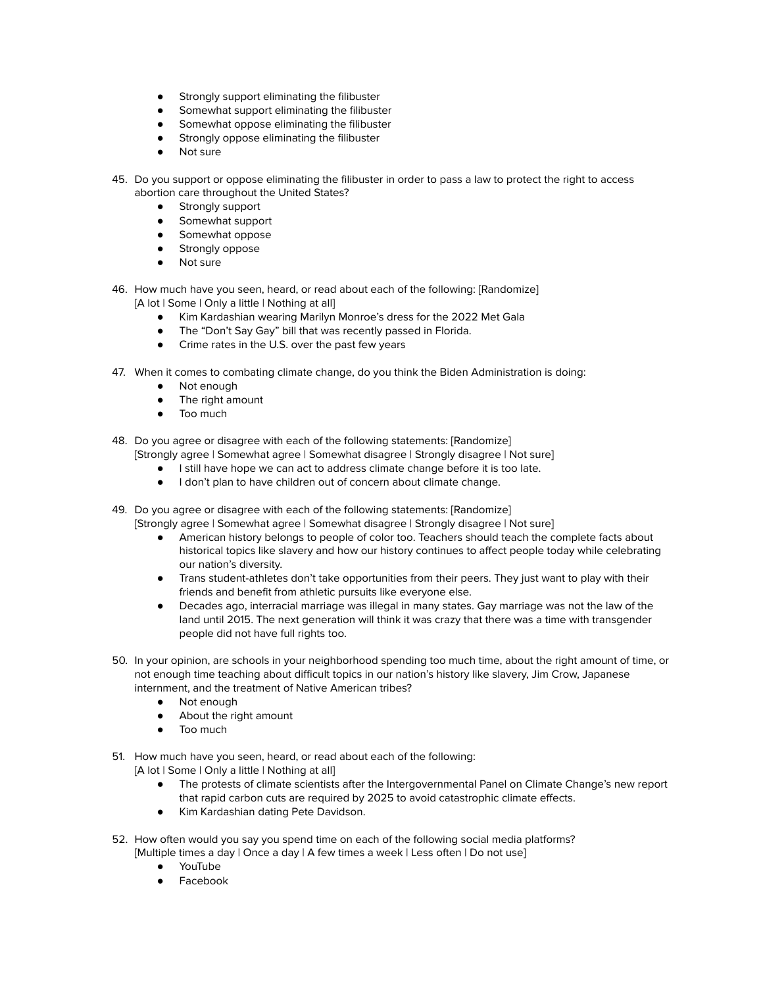- Strongly support eliminating the filibuster
- Somewhat support eliminating the filibuster
- Somewhat oppose eliminating the filibuster
- Strongly oppose eliminating the filibuster
- Not sure
- 45. Do you support or oppose eliminating the filibuster in order to pass a law to protect the right to access abortion care throughout the United States?
	- Strongly support
	- Somewhat support
	- Somewhat oppose
	- Strongly oppose
	- Not sure
- 46. How much have you seen, heard, or read about each of the following: [Randomize] [A lot | Some | Only a little | Nothing at all]
	- Kim Kardashian wearing Marilyn Monroe's dress for the 2022 Met Gala
	- The "Don't Say Gay" bill that was recently passed in Florida.
	- Crime rates in the U.S. over the past few years
- 47. When it comes to combating climate change, do you think the Biden Administration is doing:
	- Not enough
	- The right amount
	- Too much
- 48. Do you agree or disagree with each of the following statements: [Randomize]
	- [Strongly agree | Somewhat agree | Somewhat disagree | Strongly disagree | Not sure]
		- I still have hope we can act to address climate change before it is too late.
		- I don't plan to have children out of concern about climate change.
- 49. Do you agree or disagree with each of the following statements: [Randomize] [Strongly agree | Somewhat agree | Somewhat disagree | Strongly disagree | Not sure]
	- American history belongs to people of color too. Teachers should teach the complete facts about historical topics like slavery and how our history continues to affect people today while celebrating our nation's diversity.
	- Trans student-athletes don't take opportunities from their peers. They just want to play with their friends and benefit from athletic pursuits like everyone else.
	- Decades ago, interracial marriage was illegal in many states. Gay marriage was not the law of the land until 2015. The next generation will think it was crazy that there was a time with transgender people did not have full rights too.
- 50. In your opinion, are schools in your neighborhood spending too much time, about the right amount of time, or not enough time teaching about difficult topics in our nation's history like slavery, Jim Crow, Japanese internment, and the treatment of Native American tribes?
	- Not enough
	- About the right amount
	- Too much
- 51. How much have you seen, heard, or read about each of the following: [A lot | Some | Only a little | Nothing at all]
	- The protests of climate scientists after the Intergovernmental Panel on Climate Change's new report that rapid carbon cuts are required by 2025 to avoid catastrophic climate effects.
	- Kim Kardashian dating Pete Davidson.
- 52. How often would you say you spend time on each of the following social media platforms? [Multiple times a day | Once a day | A few times a week | Less often | Do not use]
	- YouTube
	- **Facebook**